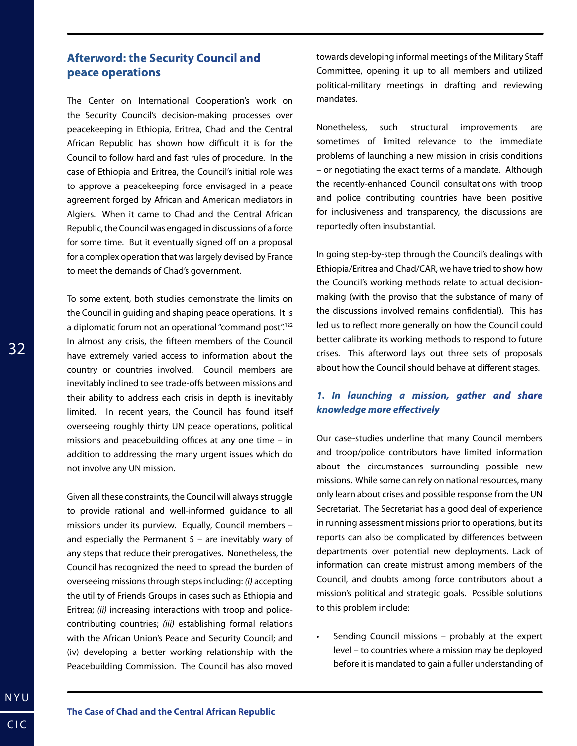## **Afterword: the Security Council and peace operations**

The Center on International Cooperation's work on the Security Council's decision-making processes over peacekeeping in Ethiopia, Eritrea, Chad and the Central African Republic has shown how difficult it is for the Council to follow hard and fast rules of procedure. In the case of Ethiopia and Eritrea, the Council's initial role was to approve a peacekeeping force envisaged in a peace agreement forged by African and American mediators in Algiers. When it came to Chad and the Central African Republic, the Council was engaged in discussions of a force for some time. But it eventually signed off on a proposal for a complex operation that was largely devised by France to meet the demands of Chad's government.

To some extent, both studies demonstrate the limits on the Council in guiding and shaping peace operations. It is a diplomatic forum not an operational "command post".<sup>122</sup> In almost any crisis, the fifteen members of the Council have extremely varied access to information about the country or countries involved. Council members are inevitably inclined to see trade-offs between missions and their ability to address each crisis in depth is inevitably limited. In recent years, the Council has found itself overseeing roughly thirty UN peace operations, political missions and peacebuilding offices at any one time – in addition to addressing the many urgent issues which do not involve any UN mission.

Given all these constraints, the Council will always struggle to provide rational and well-informed guidance to all missions under its purview. Equally, Council members – and especially the Permanent  $5 -$  are inevitably wary of any steps that reduce their prerogatives. Nonetheless, the Council has recognized the need to spread the burden of overseeing missions through steps including: *(i)* accepting the utility of Friends Groups in cases such as Ethiopia and Eritrea; *(ii)* increasing interactions with troop and policecontributing countries; *(iii)* establishing formal relations with the African Union's Peace and Security Council; and (iv) developing a better working relationship with the Peacebuilding Commission. The Council has also moved

towards developing informal meetings of the Military Staff Committee, opening it up to all members and utilized political-military meetings in drafting and reviewing mandates.

Nonetheless, such structural improvements are sometimes of limited relevance to the immediate problems of launching a new mission in crisis conditions – or negotiating the exact terms of a mandate. Although the recently-enhanced Council consultations with troop and police contributing countries have been positive for inclusiveness and transparency, the discussions are reportedly often insubstantial.

In going step-by-step through the Council's dealings with Ethiopia/Eritrea and Chad/CAR, we have tried to show how the Council's working methods relate to actual decisionmaking (with the proviso that the substance of many of the discussions involved remains confidential). This has led us to reflect more generally on how the Council could better calibrate its working methods to respond to future crises. This afterword lays out three sets of proposals about how the Council should behave at different stages.

## *1. In launching a mission, gather and share knowledge more effectively*

Our case-studies underline that many Council members and troop/police contributors have limited information about the circumstances surrounding possible new missions. While some can rely on national resources, many only learn about crises and possible response from the UN Secretariat. The Secretariat has a good deal of experience in running assessment missions prior to operations, but its reports can also be complicated by differences between departments over potential new deployments. Lack of information can create mistrust among members of the Council, and doubts among force contributors about a mission's political and strategic goals. Possible solutions to this problem include:

• Sending Council missions – probably at the expert level – to countries where a mission may be deployed before it is mandated to gain a fuller understanding of

32

NYU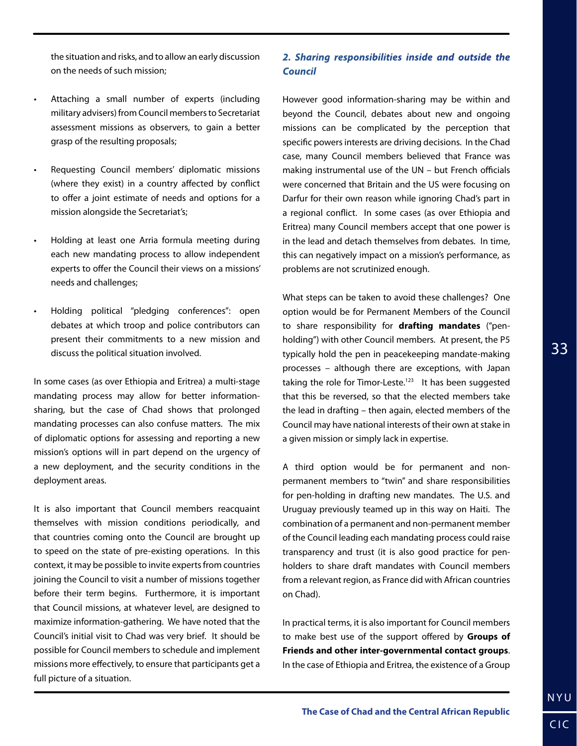the situation and risks, and to allow an early discussion on the needs of such mission;

- Attaching a small number of experts (including military advisers) from Council members to Secretariat assessment missions as observers, to gain a better grasp of the resulting proposals;
- Requesting Council members' diplomatic missions (where they exist) in a country affected by conflict to offer a joint estimate of needs and options for a mission alongside the Secretariat's;
- Holding at least one Arria formula meeting during each new mandating process to allow independent experts to offer the Council their views on a missions' needs and challenges;
- Holding political "pledging conferences": open debates at which troop and police contributors can present their commitments to a new mission and discuss the political situation involved.

In some cases (as over Ethiopia and Eritrea) a multi-stage mandating process may allow for better informationsharing, but the case of Chad shows that prolonged mandating processes can also confuse matters. The mix of diplomatic options for assessing and reporting a new mission's options will in part depend on the urgency of a new deployment, and the security conditions in the deployment areas.

It is also important that Council members reacquaint themselves with mission conditions periodically, and that countries coming onto the Council are brought up to speed on the state of pre-existing operations. In this context, it may be possible to invite experts from countries joining the Council to visit a number of missions together before their term begins. Furthermore, it is important that Council missions, at whatever level, are designed to maximize information-gathering. We have noted that the Council's initial visit to Chad was very brief. It should be possible for Council members to schedule and implement missions more effectively, to ensure that participants get a full picture of a situation.

## *2. Sharing responsibilities inside and outside the Council*

However good information-sharing may be within and beyond the Council, debates about new and ongoing missions can be complicated by the perception that specific powers interests are driving decisions. In the Chad case, many Council members believed that France was making instrumental use of the UN – but French officials were concerned that Britain and the US were focusing on Darfur for their own reason while ignoring Chad's part in a regional conflict. In some cases (as over Ethiopia and Eritrea) many Council members accept that one power is in the lead and detach themselves from debates. In time, this can negatively impact on a mission's performance, as problems are not scrutinized enough.

What steps can be taken to avoid these challenges? One option would be for Permanent Members of the Council to share responsibility for **drafting mandates** ("penholding") with other Council members. At present, the P5 typically hold the pen in peacekeeping mandate-making processes – although there are exceptions, with Japan taking the role for Timor-Leste.<sup>123</sup> It has been suggested that this be reversed, so that the elected members take the lead in drafting – then again, elected members of the Council may have national interests of their own at stake in a given mission or simply lack in expertise.

A third option would be for permanent and nonpermanent members to "twin" and share responsibilities for pen-holding in drafting new mandates. The U.S. and Uruguay previously teamed up in this way on Haiti. The combination of a permanent and non-permanent member of the Council leading each mandating process could raise transparency and trust (it is also good practice for penholders to share draft mandates with Council members from a relevant region, as France did with African countries on Chad).

In practical terms, it is also important for Council members to make best use of the support offered by **Groups of Friends and other inter-governmental contact groups**. In the case of Ethiopia and Eritrea, the existence of a Group

NYU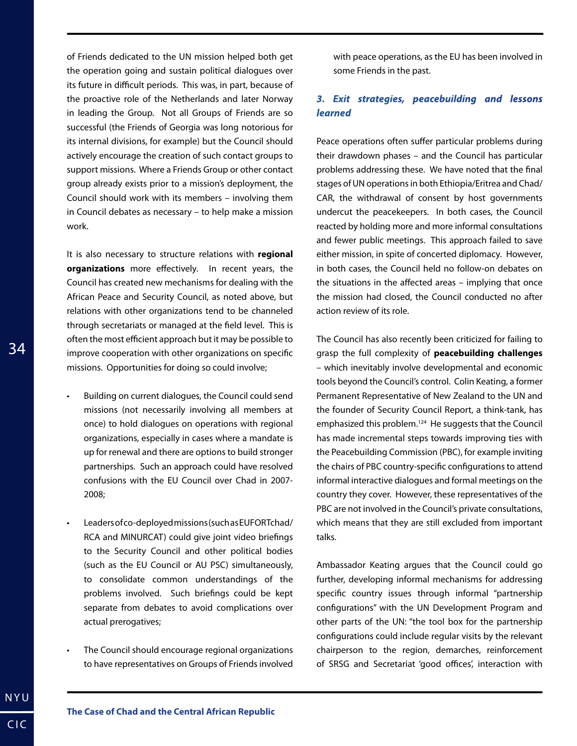of Friends dedicated to the UN mission helped both get the operation going and sustain political dialogues over its future in difficult periods. This was, in part, because of the proactive role of the Netherlands and later Norway in leading the Group. Not all Groups of Friends are so successful (the Friends of Georgia was long notorious for its internal divisions, for example) but the Council should actively encourage the creation of such contact groups to support missions. Where a Friends Group or other contact group already exists prior to a mission's deployment, the Council should work with its members – involving them in Council debates as necessary – to help make a mission work.

It is also necessary to structure relations with **regional organizations** more effectively. In recent years, the Council has created new mechanisms for dealing with the African Peace and Security Council, as noted above, but relations with other organizations tend to be channeled through secretariats or managed at the field level. This is often the most efficient approach but it may be possible to improve cooperation with other organizations on specific missions. Opportunities for doing so could involve;

- Building on current dialogues, the Council could send missions (not necessarily involving all members at once) to hold dialogues on operations with regional organizations, especially in cases where a mandate is up for renewal and there are options to build stronger partnerships. Such an approach could have resolved confusions with the EU Council over Chad in 2007- 2008;
- Leaders of co-deployed missions (such as EUFOR Tchad/ RCA and MINURCAT) could give joint video briefings to the Security Council and other political bodies (such as the EU Council or AU PSC) simultaneously, to consolidate common understandings of the problems involved. Such briefings could be kept separate from debates to avoid complications over actual prerogatives;
- The Council should encourage regional organizations to have representatives on Groups of Friends involved

with peace operations, as the EU has been involved in some Friends in the past.

## *3. Exit strategies, peacebuilding and lessons learned*

Peace operations often suffer particular problems during their drawdown phases – and the Council has particular problems addressing these. We have noted that the final stages of UN operations in both Ethiopia/Eritrea and Chad/ CAR, the withdrawal of consent by host governments undercut the peacekeepers. In both cases, the Council reacted by holding more and more informal consultations and fewer public meetings. This approach failed to save either mission, in spite of concerted diplomacy. However, in both cases, the Council held no follow-on debates on the situations in the affected areas – implying that once the mission had closed, the Council conducted no after action review of its role.

The Council has also recently been criticized for failing to grasp the full complexity of **peacebuilding challenges**  – which inevitably involve developmental and economic tools beyond the Council's control. Colin Keating, a former Permanent Representative of New Zealand to the UN and the founder of Security Council Report, a think-tank, has emphasized this problem.<sup>124</sup> He suggests that the Council has made incremental steps towards improving ties with the Peacebuilding Commission (PBC), for example inviting the chairs of PBC country-specific configurations to attend informal interactive dialogues and formal meetings on the country they cover. However, these representatives of the PBC are not involved in the Council's private consultations, which means that they are still excluded from important talks.

Ambassador Keating argues that the Council could go further, developing informal mechanisms for addressing specific country issues through informal "partnership configurations" with the UN Development Program and other parts of the UN: "the tool box for the partnership configurations could include regular visits by the relevant chairperson to the region, demarches, reinforcement of SRSG and Secretariat 'good offices', interaction with

NYU